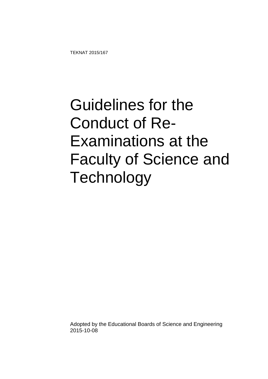TEKNAT 2015/167

## Guidelines for the Conduct of Re-Examinations at the Faculty of Science and **Technology**

Adopted by the Educational Boards of Science and Engineering 2015-10-08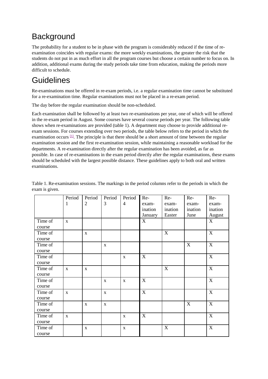## **Background**

The probability for a student to be in phase with the program is considerably reduced if the time of reexamination coincides with regular exams: the more weekly examinations, the greater the risk that the students do not put in as much effort in all the program courses but choose a certain number to focus on. In addition, additional exams during the study periods take time from education, making the periods more difficult to schedule.

## Guidelines

Re-examinations must be offered in re-exam periods, i.e. a regular examination time cannot be substituted for a re-examination time. Regular examinations must not be placed in a re-exam period.

The day before the regular examination should be non-scheduled.

Each examination shall be followed by at least two re-examinations per year, one of which will be offered in the re-exam period in August. Some courses have several course periods per year. The following table shows when re-examinations are provided (table 1). A department may choose to provide additional reexam sessions. For courses extending over two periods, the table below refers to the period in which the examination occurs  $\mathbb{1}$ . The principle is that there should be a short amount of time between the regular examination session and the first re-examination session, while maintaining a reasonable workload for the departments. A re-examination directly after the regular examination has been avoided, as far as possible. In case of re-examinations in the exam period directly after the regular examinations, these exams should be scheduled with the largest possible distance. These guidelines apply to both oral and written examinations.

|         | Period       | Period         | Period       | Period         | Re-                       | Re-     | Re-     | Re-            |
|---------|--------------|----------------|--------------|----------------|---------------------------|---------|---------|----------------|
|         | $\mathbf{1}$ | $\overline{2}$ | 3            | $\overline{4}$ | exam-                     | exam-   | exam-   | exam-          |
|         |              |                |              |                | ination                   | ination | ination | ination        |
|         |              |                |              |                | January                   | Easter  | June    | August         |
| Time of | $\mathbf X$  |                |              |                | $\boldsymbol{\mathrm{X}}$ |         |         | X              |
| course  |              |                |              |                |                           |         |         |                |
| Time of |              | $\mathbf{X}$   |              |                |                           | X       |         | X              |
| course  |              |                |              |                |                           |         |         |                |
| Time of |              |                | $\mathbf X$  |                |                           |         | X       | $\mathbf X$    |
| course  |              |                |              |                |                           |         |         |                |
| Time of |              |                |              | $\mathbf{X}$   | X                         |         |         | X              |
| course  |              |                |              |                |                           |         |         |                |
| Time of | $\mathbf{X}$ | $\mathbf{X}$   |              |                |                           | X       |         | $\overline{X}$ |
| course  |              |                |              |                |                           |         |         |                |
| Time of |              |                | $\mathbf{X}$ | $\mathbf{X}$   | X                         |         |         | X              |
| course  |              |                |              |                |                           |         |         |                |
| Time of | X            |                | $\mathbf X$  |                | $\boldsymbol{\mathrm{X}}$ |         |         | X              |
| course  |              |                |              |                |                           |         |         |                |
| Time of |              | $\mathbf X$    | $\mathbf X$  |                |                           |         | X       | $\mathbf X$    |
| course  |              |                |              |                |                           |         |         |                |
| Time of | $\mathbf X$  |                |              | $\mathbf X$    | X                         |         |         | $\mathbf X$    |
| course  |              |                |              |                |                           |         |         |                |
| Time of |              | $\mathbf{X}$   |              | $\mathbf{X}$   |                           | X       |         | X              |
| course  |              |                |              |                |                           |         |         |                |

Table 1. Re-examination sessions. The markings in the period columns refer to the periods in which the exam is given.